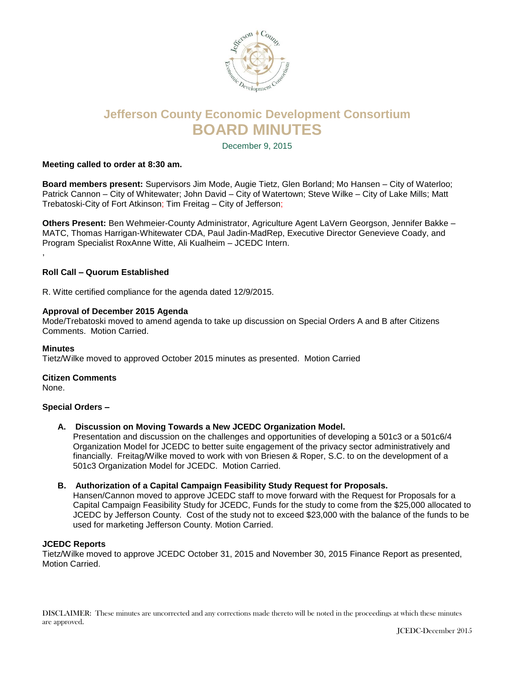

# **Jefferson County Economic Development Consortium BOARD MINUTES**

December 9, 2015

## **Meeting called to order at 8:30 am.**

**Board members present:** Supervisors Jim Mode, Augie Tietz, Glen Borland; Mo Hansen – City of Waterloo; Patrick Cannon – City of Whitewater; John David – City of Watertown; Steve Wilke – City of Lake Mills; Matt Trebatoski-City of Fort Atkinson; Tim Freitag – City of Jefferson;

**Others Present:** Ben Wehmeier-County Administrator, Agriculture Agent LaVern Georgson, Jennifer Bakke – MATC, Thomas Harrigan-Whitewater CDA, Paul Jadin-MadRep, Executive Director Genevieve Coady, and Program Specialist RoxAnne Witte, Ali Kualheim – JCEDC Intern.

## **Roll Call – Quorum Established**

R. Witte certified compliance for the agenda dated 12/9/2015.

#### **Approval of December 2015 Agenda**

Mode/Trebatoski moved to amend agenda to take up discussion on Special Orders A and B after Citizens Comments. Motion Carried.

#### **Minutes**

,

Tietz/Wilke moved to approved October 2015 minutes as presented. Motion Carried

## **Citizen Comments**

None.

## **Special Orders –**

**A. Discussion on Moving Towards a New JCEDC Organization Model.**

Presentation and discussion on the challenges and opportunities of developing a 501c3 or a 501c6/4 Organization Model for JCEDC to better suite engagement of the privacy sector administratively and financially. Freitag/Wilke moved to work with von Briesen & Roper, S.C. to on the development of a 501c3 Organization Model for JCEDC. Motion Carried.

#### **B. Authorization of a Capital Campaign Feasibility Study Request for Proposals.**

Hansen/Cannon moved to approve JCEDC staff to move forward with the Request for Proposals for a Capital Campaign Feasibility Study for JCEDC, Funds for the study to come from the \$25,000 allocated to JCEDC by Jefferson County. Cost of the study not to exceed \$23,000 with the balance of the funds to be used for marketing Jefferson County. Motion Carried.

#### **JCEDC Reports**

Tietz/Wilke moved to approve JCEDC October 31, 2015 and November 30, 2015 Finance Report as presented, Motion Carried.